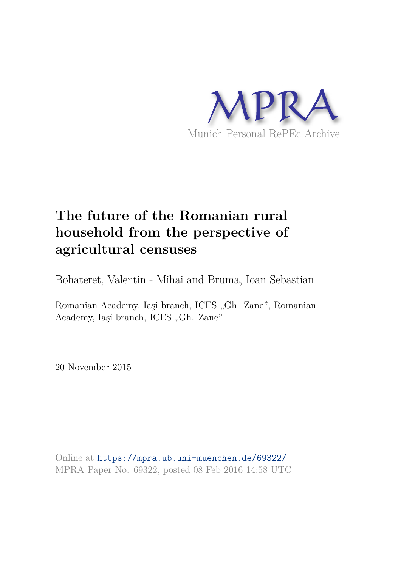

# **The future of the Romanian rural household from the perspective of agricultural censuses**

Bohateret, Valentin - Mihai and Bruma, Ioan Sebastian

Romanian Academy, Iaşi branch, ICES "Gh. Zane", Romanian Academy, Iași branch, ICES "Gh. Zane"

20 November 2015

Online at https://mpra.ub.uni-muenchen.de/69322/ MPRA Paper No. 69322, posted 08 Feb 2016 14:58 UTC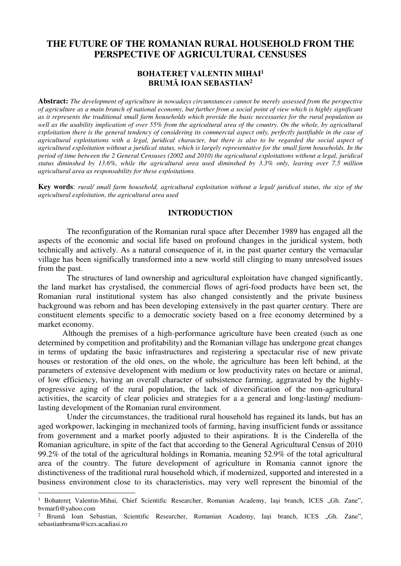# **THE FUTURE OF THE ROMANIAN RURAL HOUSEHOLD FROM THE PERSPECTIVE OF AGRICULTURAL CENSUSES**

# **BOHATEREŢ VALENTIN MIHAI<sup>1</sup> BRUMĂ IOAN SEBASTIAN<sup>2</sup>**

**Abstract:** *The development of agriculture in nowadays circumstances cannot be merely assessed from the perspective of agriculture as a main branch of national economy, but further from a social point of view which is highly significant as it represents the traditional small farm households which provide the basic necessaries for the rural population as*  well as the usability implication of over 55% from the agricultural area of the country. On the whole, by agricultural *exploitation there is the general tendency of considering its commercial aspect only, perfectly justifiable in the case of agricultural exploitations with a legal, juridical character, but there is also to be regarded the social aspect of agricultural exploitation without a juridical status, which is largely representative for the small farm households. In the period of time between the 2 General Censuses (2002 and 2010) the agricultural exploitations without a legal, juridical status diminshed by 13.6%, while the agricultural area used diminshed by 3.3% only, leaving over 7.5 million agricultural area as responsability for these exploitations.* 

**Key words**: *rural/ small farm household, agricultural exploitation without a legal/ juridical status, the size of the agricultural exploitation, the agricultural area used*

# **INTRODUCTION**

The reconfiguration of the Romanian rural space after December 1989 has engaged all the aspects of the economic and social life based on profound changes in the juridical system, both technically and actively. As a natural consequence of it, in the past quarter century the vernacular village has been significally transformed into a new world still clinging to many unresolved issues from the past.

The structures of land ownership and agricultural exploitation have changed significantly, the land market has crystalised, the commercial flows of agri-food products have been set, the Romanian rural institutional system has also changed consistently and the private business background was reborn and has been developing extensively in the past quarter century. There are constituent elements specific to a democratic society based on a free economy determined by a market economy.

Although the premises of a high-performance agriculture have been created (such as one determined by competition and profitability) and the Romanian village has undergone great changes in terms of updating the basic infrastructures and registering a spectacular rise of new private houses or restoration of the old ones, on the whole, the agriculture has been left behind, at the parameters of extensive development with medium or low productivity rates on hectare or animal, of low efficiency, having an overall character of subsistence farming, aggravated by the highlyprogressive aging of the rural population, the lack of diversification of the non-agricultural activities, the scarcity of clear policies and strategies for a a general and long-lasting/ mediumlasting development of the Romanian rural environment.

Under the circumstances, the traditional rural household has regained its lands, but has an aged workpower, lackinging in mechanized tools of farming, having insufficient funds or asssitance from government and a market poorly adjusted to their aspirations. It is the Cinderella of the Romanian agriculture, in spite of the fact that according to the General Agricultural Census of 2010 99.2% of the total of the agricultural holdings in Romania, meaning 52.9% of the total agricultural area of the country. The future development of agriculture in Romania cannot ignore the distinctiveness of the traditional rural household which, if modernized, supported and interested in a business environment close to its characteristics, may very well represent the binomial of the

 $\overline{a}$ 

<sup>&</sup>lt;sup>1</sup> Bohatereț Valentin-Mihai, Chief Scientific Researcher, Romanian Academy, Iași branch, ICES "Gh. Zane", bvmarfi@yahoo.com

<sup>&</sup>lt;sup>2</sup> Brumă Ioan Sebastian, Scientific Researcher, Romanian Academy, Iași branch, ICES "Gh. Zane", sebastianbruma@ices.acadiasi.ro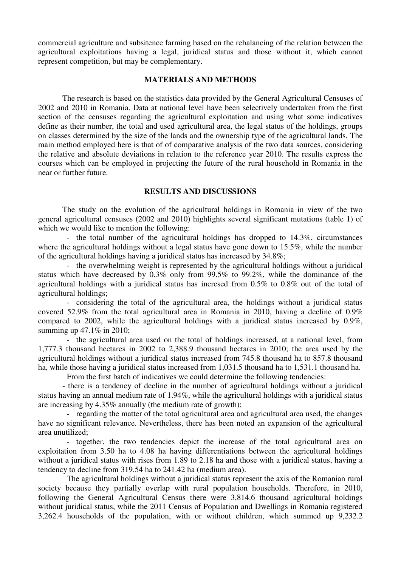commercial agriculture and subsitence farming based on the rebalancing of the relation between the agricultural exploitations having a legal, juridical status and those without it, which cannot represent competition, but may be complementary.

### **MATERIALS AND METHODS**

The research is based on the statistics data provided by the General Agricultural Censuses of 2002 and 2010 in Romania. Data at national level have been selectively undertaken from the first section of the censuses regarding the agricultural exploitation and using what some indicatives define as their number, the total and used agricultural area, the legal status of the holdings, groups on classes determined by the size of the lands and the ownership type of the agricultural lands. The main method employed here is that of of comparative analysis of the two data sources, considering the relative and absolute deviations in relation to the reference year 2010. The results express the courses which can be employed in projecting the future of the rural household in Romania in the near or further future.

#### **RESULTS AND DISCUSSIONS**

The study on the evolution of the agricultural holdings in Romania in view of the two general agricultural censuses (2002 and 2010) highlights several significant mutations (table 1) of which we would like to mention the following:

- the total number of the agricultural holdings has dropped to 14.3%, circumstances where the agricultural holdings without a legal status have gone down to 15.5%, while the number of the agricultural holdings having a juridical status has increased by 34.8%;

- the overwhelming weight is represented by the agricultural holdings without a juridical status which have decreased by 0.3% only from 99.5% to 99.2%, while the dominance of the agricultural holdings with a juridical status has incresed from 0.5% to 0.8% out of the total of agricultural holdings;

- considering the total of the agricultural area, the holdings without a juridical status covered 52.9% from the total agricultural area in Romania in 2010, having a decline of 0.9% compared to 2002, while the agricultural holdings with a juridical status increased by 0.9%, summing up 47.1\% in 2010;

- the agricultural area used on the total of holdings increased, at a national level, from 1,777.3 thousand hectares in 2002 to 2,388.9 thousand hectares in 2010; the area used by the agricultural holdings without a juridical status increased from 745.8 thousand ha to 857.8 thousand ha, while those having a juridical status increased from 1,031.5 thousand ha to 1,531.1 thousand ha.

From the first batch of indicatives we could determine the following tendencies:

- there is a tendency of decline in the number of agricultural holdings without a juridical status having an annual medium rate of 1.94%, while the agricultural holdings with a juridical status are increasing by 4.35% annually (the medium rate of growth);

- regarding the matter of the total agricultural area and agricultural area used, the changes have no significant relevance. Nevertheless, there has been noted an expansion of the agricultural area unutilized;

- together, the two tendencies depict the increase of the total agricultural area on exploitation from 3.50 ha to 4.08 ha having differentiations between the agricultural holdings without a juridical status with rises from 1.89 to 2.18 ha and those with a juridical status, having a tendency to decline from 319.54 ha to 241.42 ha (medium area).

The agricultural holdings without a juridical status represent the axis of the Romanian rural society because they partially overlap with rural population households. Therefore, in 2010, following the General Agricultural Census there were 3,814.6 thousand agricultural holdings without juridical status, while the 2011 Census of Population and Dwellings in Romania registered 3,262.4 households of the population, with or without children, which summed up 9,232.2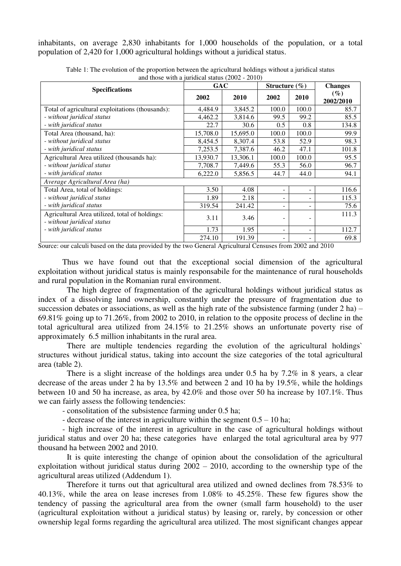inhabitants, on average 2,830 inhabitants for 1,000 households of the population, or a total population of 2,420 for 1,000 agricultural holdings without a juridical status.

| <b>Specifications</b>                                                        | <b>GAC</b> |          | Structure $(\% )$        |       | <b>Changes</b>      |
|------------------------------------------------------------------------------|------------|----------|--------------------------|-------|---------------------|
|                                                                              | 2002       | 2010     | 2002                     | 2010  | $(\%)$<br>2002/2010 |
| Total of agricultural exploitations (thousands):                             | 4,484.9    | 3,845.2  | 100.0                    | 100.0 | 85.7                |
| - without juridical status                                                   | 4,462.2    | 3,814.6  | 99.5                     | 99.2  | 85.5                |
| - with juridical status                                                      | 22.7       | 30.6     | 0.5                      | 0.8   | 134.8               |
| Total Area (thousand, ha):                                                   | 15,708.0   | 15,695.0 | 100.0                    | 100.0 | 99.9                |
| - without juridical status                                                   | 8,454.5    | 8,307.4  | 53.8                     | 52.9  | 98.3                |
| - with juridical status                                                      | 7,253.5    | 7,387.6  | 46.2                     | 47.1  | 101.8               |
| Agricultural Area utilized (thousands ha):                                   | 13,930.7   | 13,306.1 | 100.0                    | 100.0 | 95.5                |
| - without juridical status                                                   | 7,708.7    | 7,449.6  | 55.3                     | 56.0  | 96.7                |
| - with juridical status                                                      | 6,222.0    | 5,856.5  | 44.7                     | 44.0  | 94.1                |
| Average Agricultural Area (ha)                                               |            |          |                          |       |                     |
| Total Area, total of holdings:                                               | 3.50       | 4.08     | $\overline{\phantom{a}}$ |       | 116.6               |
| - without juridical status                                                   | 1.89       | 2.18     |                          |       | 115.3               |
| - with juridical status                                                      | 319.54     | 241.42   |                          |       | 75.6                |
| Agricultural Area utilized, total of holdings:<br>- without juridical status | 3.11       | 3.46     |                          |       | 111.3               |
| - with juridical status                                                      | 1.73       | 1.95     |                          |       | 112.7               |
|                                                                              | 274.10     | 191.39   |                          |       | 69.8                |

Table 1: The evolution of the proportion between the agricultural holdings without a juridical status and those with a juridical status (2002 - 2010)

Source: our calculi based on the data provided by the two General Agricultural Censuses from 2002 and 2010

Thus we have found out that the exceptional social dimension of the agricultural exploitation without juridical status is mainly responsabile for the maintenance of rural households and rural population in the Romanian rural environment.

The high degree of fragmentation of the agricultural holdings without juridical status as index of a dissolving land ownership, constantly under the pressure of fragmentation due to succession debates or associations, as well as the high rate of the subsistence farming (under 2 ha) – 69.81% going up to 71.26%, from 2002 to 2010, in relation to the opposite process of decline in the total agricultural area utilized from 24.15% to 21.25% shows an unfortunate poverty rise of approximately 6.5 million inhabitants in the rural area.

There are multiple tendencies regarding the evolution of the agricultural holdings` structures without juridical status, taking into account the size categories of the total agricultural area (table 2).

There is a slight increase of the holdings area under 0.5 ha by 7.2% in 8 years, a clear decrease of the areas under 2 ha by 13.5% and between 2 and 10 ha by 19.5%, while the holdings between 10 and 50 ha increase, as area, by 42.0% and those over 50 ha increase by 107.1%. Thus we can fairly assess the following tendencies:

- consolitation of the subsistence farming under 0.5 ha;

- decrease of the interest in agriculture within the segment 0.5 – 10 ha;

- high increase of the interest in agriculture in the case of agricultural holdings without juridical status and over 20 ha; these categories have enlarged the total agricultural area by 977 thousand ha between 2002 and 2010.

It is quite interesting the change of opinion about the consolidation of the agricultural exploitation without juridical status during 2002 – 2010, according to the ownership type of the agricultural areas utilized (Addendum 1).

Therefore it turns out that agricultural area utilized and owned declines from 78.53% to 40.13%, while the area on lease increses from 1.08% to 45.25%. These few figures show the tendency of passing the agricultural area from the owner (small farm household) to the user (agricultural exploitation without a juridical status) by leasing or, rarely, by concession or other ownership legal forms regarding the agricultural area utilized. The most significant changes appear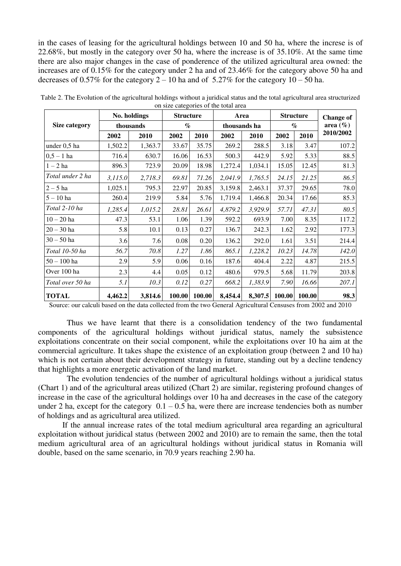in the cases of leasing for the agricultural holdings between 10 and 50 ha, where the increse is of 22.68%, but mostly in the category over 50 ha, where the increase is of 35.10%. At the same time there are also major changes in the case of ponderence of the utilized agricultural area owned: the increases are of 0.15% for the category under 2 ha and of 23.46% for the category above 50 ha and decreases of 0.57% for the category  $2 - 10$  ha and of 5.27% for the category  $10 - 50$  ha.

|                  | No. holdings |           | <b>Structure</b> |        | Area         |         | <b>Structure</b>            |        | <b>Change of</b> |  |
|------------------|--------------|-----------|------------------|--------|--------------|---------|-----------------------------|--------|------------------|--|
| Size category    |              | thousands | $\%$             |        | thousands ha |         | $\mathcal{O}_{\mathcal{O}}$ |        | area $(\% )$     |  |
|                  | 2002         | 2010      | 2002             | 2010   | 2002         | 2010    | 2002                        | 2010   | 2010/2002        |  |
| under 0,5 ha     | 1,502.2      | 1,363.7   | 33.67            | 35.75  | 269.2        | 288.5   | 3.18                        | 3.47   | 107.2            |  |
| $0,5 - 1$ ha     | 716.4        | 630.7     | 16.06            | 16.53  | 500.3        | 442.9   | 5.92                        | 5.33   | 88.5             |  |
| $1-2$ ha         | 896.3        | 723.9     | 20.09            | 18.98  | 1,272.4      | 1,034.1 | 15.05                       | 12.45  | 81.3             |  |
| Total under 2 ha | 3,115.0      | 2,718.3   | 69.81            | 71.26  | 2,041.9      | 1,765.5 | 24.15                       | 21.25  | 86.5             |  |
| $2-5$ ha         | 1,025.1      | 795.3     | 22.97            | 20.85  | 3,159.8      | 2,463.1 | 37.37                       | 29.65  | 78.0             |  |
| $5 - 10$ ha      | 260.4        | 219.9     | 5.84             | 5.76   | 1,719.4      | 1,466.8 | 20.34                       | 17.66  | 85.3             |  |
| Total 2-10 ha    | 1,285.4      | 1,015.2   | 28.81            | 26.61  | 4,879.2      | 3,929.9 | 57.71                       | 47.31  | 80.5             |  |
| $10 - 20$ ha     | 47.3         | 53.1      | 1.06             | 1.39   | 592.2        | 693.9   | 7.00                        | 8.35   | 117.2            |  |
| $20 - 30$ ha     | 5.8          | 10.1      | 0.13             | 0.27   | 136.7        | 242.3   | 1.62                        | 2.92   | 177.3            |  |
| $30 - 50$ ha     | 3.6          | 7.6       | 0.08             | 0.20   | 136.2        | 292.0   | 1.61                        | 3.51   | 214.4            |  |
| Total 10-50 ha   | 56.7         | 70.8      | 1.27             | 1.86   | 865.1        | 1,228.2 | 10.23                       | 14.78  | 142.0            |  |
| $50 - 100$ ha    | 2.9          | 5.9       | 0.06             | 0.16   | 187.6        | 404.4   | 2.22                        | 4.87   | 215.5            |  |
| Over 100 ha      | 2.3          | 4.4       | 0.05             | 0.12   | 480.6        | 979.5   | 5.68                        | 11.79  | 203.8            |  |
| Total over 50 ha | 5.1          | 10.3      | 0.12             | 0.27   | 668.2        | 1,383.9 | 7.90                        | 16.66  | 207.1            |  |
| <b>TOTAL</b>     | 4,462.2      | 3,814.6   | 100.00           | 100.00 | 8,454.4      | 8,307.5 | 100.00                      | 100.00 | 98.3             |  |

Table 2. The Evolution of the agricultural holdings without a juridical status and the total agricultural area structurized on size categories of the total area

Source: our calculi based on the data collected from the two General Agricultural Censuses from 2002 and 2010

Thus we have learnt that there is a consolidation tendency of the two fundamental components of the agricultural holdings without juridical status, namely the subsistence exploitations concentrate on their social component, while the exploitations over 10 ha aim at the commercial agriculture. It takes shape the existence of an exploitation group (between 2 and 10 ha) which is not certain about their development strategy in future, standing out by a decline tendency that highlights a more energetic activation of the land market.

The evolution tendencies of the number of agricultural holdings without a juridical status (Chart 1) and of the agricultural areas utilized (Chart 2) are similar, registering profound changes of increase in the case of the agricultural holdings over 10 ha and decreases in the case of the category under 2 ha, except for the category  $0.1 - 0.5$  ha, were there are increase tendencies both as number of holdings and as agricultural area utilized.

 If the annual increase rates of the total medium agricultural area regarding an agricultural exploitation without juridical status (between 2002 and 2010) are to remain the same, then the total medium agricultural area of an agricultural holdings without juridical status in Romania will double, based on the same scenario, in 70.9 years reaching 2.90 ha.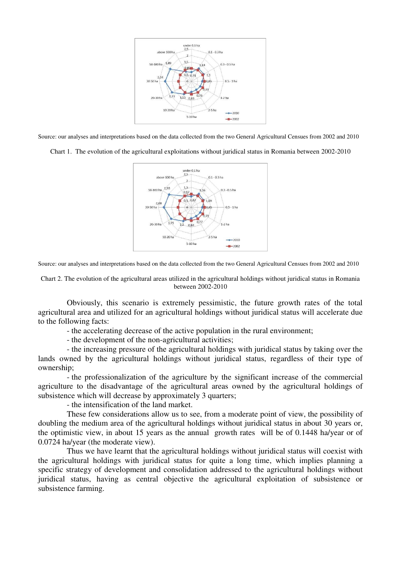

Source: our analyses and interpretations based on the data collected from the two General Agricultural Censues from 2002 and 2010

Chart 1. The evolution of the agricultural exploitations without juridical status in Romania between 2002-2010



Source: our analyses and interpretations based on the data collected from the two General Agricultural Censues from 2002 and 2010

Chart 2. The evolution of the agricultural areas utilized in the agricultural holdings without juridical status in Romania between 2002-2010

 Obviously, this scenario is extremely pessimistic, the future growth rates of the total agricultural area and utilized for an agricultural holdings without juridical status will accelerate due to the following facts:

- the accelerating decrease of the active population in the rural environment;

- the development of the non-agricultural activities;

 - the increasing pressure of the agricultural holdings with juridical status by taking over the lands owned by the agricultural holdings without juridical status, regardless of their type of ownership;

- the professionalization of the agriculture by the significant increase of the commercial agriculture to the disadvantage of the agricultural areas owned by the agricultural holdings of subsistence which will decrease by approximately 3 quarters;

- the intensification of the land market.

 These few considerations allow us to see, from a moderate point of view, the possibility of doubling the medium area of the agricultural holdings without juridical status in about 30 years or, the optimistic view, in about 15 years as the annual growth rates will be of 0.1448 ha/year or of 0.0724 ha/year (the moderate view).

 Thus we have learnt that the agricultural holdings without juridical status will coexist with the agricultural holdings with juridical status for quite a long time, which implies planning a specific strategy of development and consolidation addressed to the agricultural holdings without juridical status, having as central objective the agricultural exploitation of subsistence or subsistence farming.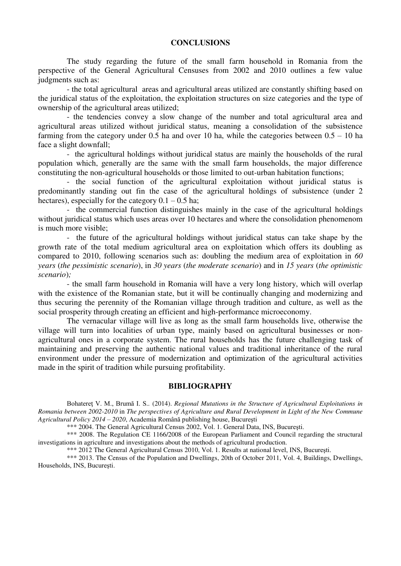#### **CONCLUSIONS**

The study regarding the future of the small farm household in Romania from the perspective of the General Agricultural Censuses from 2002 and 2010 outlines a few value judgments such as:

- the total agricultural areas and agricultural areas utilized are constantly shifting based on the juridical status of the exploitation, the exploitation structures on size categories and the type of ownership of the agricultural areas utilized;

 - the tendencies convey a slow change of the number and total agricultural area and agricultural areas utilized without juridical status, meaning a consolidation of the subsistence farming from the category under 0.5 ha and over 10 ha, while the categories between  $0.5 - 10$  ha face a slight downfall;

 - the agricultural holdings without juridical status are mainly the households of the rural population which, generally are the same with the small farm households, the major difference constituting the non-agricultural households or those limited to out-urban habitation functions;

 - the social function of the agricultural exploitation without juridical status is predominantly standing out fin the case of the agricultural holdings of subsistence (under 2 hectares), especially for the category  $0.1 - 0.5$  ha;

 - the commercial function distinguishes mainly in the case of the agricultural holdings without juridical status which uses areas over 10 hectares and where the consolidation phenomenom is much more visible;

 - the future of the agricultural holdings without juridical status can take shape by the growth rate of the total medium agricultural area on exploitation which offers its doubling as compared to 2010, following scenarios such as: doubling the medium area of exploitation in *60 years* (*the pessimistic scenario*), in *30 years* (*the moderate scenario*) and in *15 years* (*the optimistic scenario*)*;*

 - the small farm household in Romania will have a very long history, which will overlap with the existence of the Romanian state, but it will be continually changing and modernizing and thus securing the perennity of the Romanian village through tradition and culture, as well as the social prosperity through creating an efficient and high-performance microeconomy.

 The vernacular village will live as long as the small farm households live, otherwise the village will turn into localities of urban type, mainly based on agricultural businesses or nonagricultural ones in a corporate system. The rural households has the future challenging task of maintaining and preserving the authentic national values and traditional inheritance of the rural environment under the pressure of modernization and optimization of the agricultural activities made in the spirit of tradition while pursuing profitability.

#### **BIBLIOGRAPHY**

Bohatereţ V. M., Brumă I. S.*.* (2014). *Regional Mutations in the Structure of Agricultural Exploitations in Romania between 2002-2010* in *The perspectives of Agriculture and Rural Development in Light of the New Commune Agricultural Policy 2014 – 2020*, Academia Română publishing house, Bucureşti

\*\*\* 2004. The General Agricultural Census 2002, Vol. 1. General Data, INS, Bucureşti.

 \*\*\* 2008. The Regulation CE 1166/2008 of the European Parliament and Council regarding the structural investigations in agriculture and investigations about the methods of agricultural production.

\*\*\* 2012 The General Agricultural Census 2010, Vol. 1. Results at national level, INS, Bucureşti.

\*\*\* 2013. The Census of the Population and Dwellings, 20th of October 2011, Vol. 4, Buildings, Dwellings, Households, INS, Bucureşti.